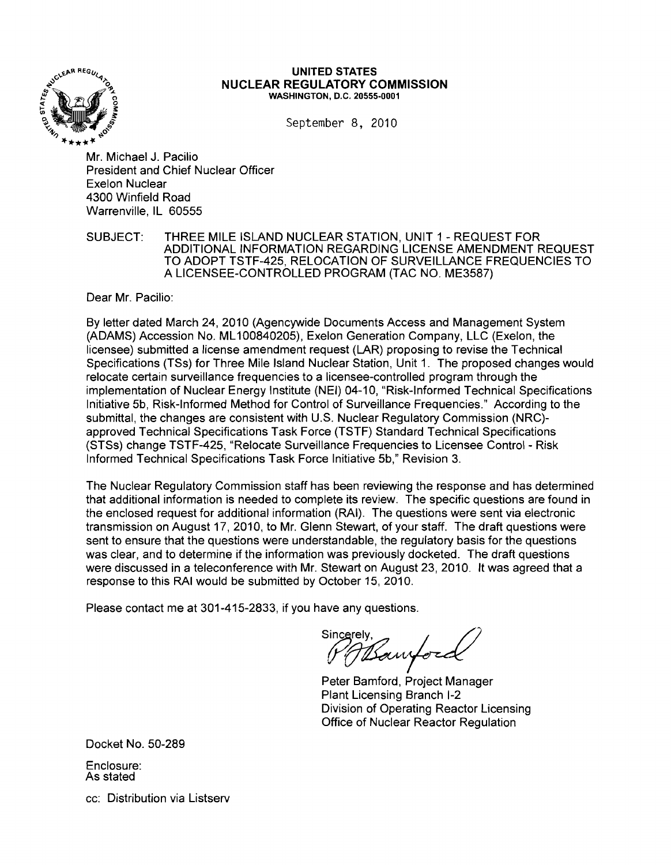

#### **UNITED** STATES **NUCLEAR REGULATORY COMMISSION** WASHINGTON, D.C. 20555-0001

September 8, 2010

Mr. Michael J. Pacilio President and Chief Nuclear Officer Exelon Nuclear 4300 Winfield Road Warrenville, IL 60555

SUBJECT: THREE MILE ISLAND NUCLEAR STATION, UNIT 1 - REQUEST FOR ADDITIONAL INFORMATION REGARDING LICENSE AMENDMENT REQUEST TO ADOPT TSTF-425, RELOCATION OF SURVEILLANCE FREQUENCIES TO A LICENSEE-CONTROLLED PROGRAM (TAC NO. ME3587)

Dear Mr. Pacilio:

By letter dated March 24, 2010 (Agencywide Documents Access and Management System (ADAMS) Accession No. ML100840205), Exelon Generation Company, LLC (Exelon, the licensee) submitted a license amendment request (LAR) proposing to revise the Technical Specifications (TSs) for Three Mile Island Nuclear Station, Unit 1. The proposed changes would relocate certain surveillance frequencies to a licensee-controlled program through the implementation of Nuclear Energy Institute (NE/) 04-10, "Risk-Informed Technical Specifications Initiative 5b, Risk-Informed Method for Control of Surveillance Frequencies." According to the submittal, the changes are consistent with U.S. Nuclear Regulatory Commission (NRC) approved Technical Specifications Task Force (TSTF) Standard Technical Specifications (STSs) change TSTF-425, "Relocate Surveillance Frequencies to Licensee Control - Risk Informed Technical Specifications Task Force Initiative 5b," Revision 3.

The Nuclear Regulatory Commission staff has been reviewing the response and has determined that additional information is needed to complete its review. The specific questions are found in the enclosed request for additional information (RAI). The questions were sent via electronic transmission on August 17, 2010, to Mr. Glenn Stewart, of your staff. The draft questions were sent to ensure that the questions were understandable, the regulatory basis for the questions was clear, and to determine if the information was previously docketed. The draft questions were discussed in a teleconference with Mr. Stewart on August 23, 2010. It was agreed that a response to this RAI would be submitted by October 15, 2010.

Please contact me at 301-415-2833, if you have any questions.

Sincerely Hamford

Peter Bamford, Project Manager Plant Licensing Branch 1-2 Division of Operating Reactor Licensing Office of Nuclear Reactor Regulation

Docket No. 50-289

Enclosure: As stated

cc: Distribution via Listserv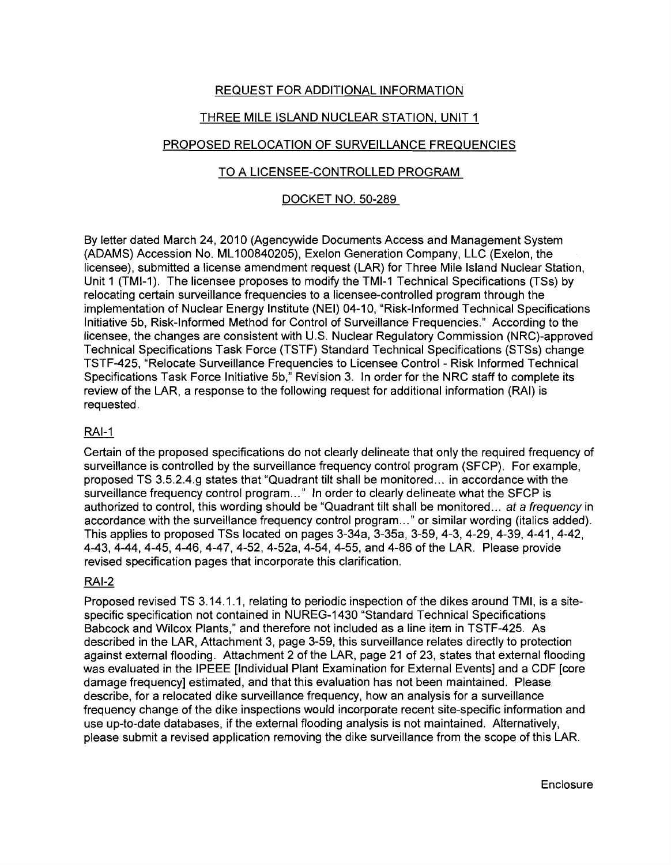# REQUEST FOR ADDITIONAL INFORMATION

# THREE MILE ISLAND NUCLEAR STATION, UNIT 1

### PROPOSED RELOCATION OF SURVEILLANCE FREQUENCIES

# TO A LICENSEE-CONTROLLED PROGRAM

### DOCKET NO. 50-289

By letter dated March 24, 2010 (Agencywide Documents Access and Management System (ADAMS) Accession No. ML100840205), Exelon Generation Company, LLC (Exelon, the licensee), submitted a license amendment request (LAR) for Three Mile Island Nuclear Station, Unit 1 (TMI-1). The licensee proposes to modify the TMI-1 Technical Specifications (TSs) by relocating certain surveillance frequencies to a licensee-controlled program through the implementation of Nuclear Energy Institute (NEI) 04-10, "Risk-Informed Technical Specifications Initiative 5b, Risk-Informed Method for Control of Surveillance Frequencies." According to the licensee, the changes are consistent with U.S. Nuclear Regulatory Commission (NRC)-approved Technical Specifications Task Force (TSTF) Standard Technical Specifications (STSs) change TSTF-425, "Relocate Surveillance Frequencies to Licensee Control - Risk Informed Technical Specifications Task Force Initiative 5b," Revision 3. In order for the NRC staff to complete its review of the LAR, a response to the following request for additional information (RAI) is requested.

### RAI-1

Certain of the proposed specifications do not clearly delineate that only the required frequency of surveillance is controlled by the surveillance frequency control program (SFCP). For example, proposed TS 3.5.2.4.g states that "Quadrant tilt shall be monitored ... in accordance with the surveillance frequency control program..." In order to clearly delineate what the SFCP is authorized to control, this wording should be "Quadrant tilt shall be monitored... at a frequency in accordance with the surveillance frequency control program ... " or similar wording (italics added). This applies to proposed TSs located on pages 3-34a, 3-35a, 3-59,4-3,4-29,4-39,4-41,4-42, 4-43,4-44,4-45,4-46,4-47,4-52, 4-52a, 4-54, 4-55, and 4-86 of the LAR. Please provide revised specification pages that incorporate this clarification.

# RAI-2

Proposed revised TS 3.14.1.1, relating to periodic inspection of the dikes around TMI, is a sitespecific specification not contained in NUREG-1430 "Standard Technical Specifications Babcock and Wilcox Plants," and therefore not included as a line item in TSTF-425. As described in the LAR, Attachment 3, page 3-59, this surveillance relates directly to protection against external flooding. Attachment 2 of the LAR, page 21 of 23, states that external flooding was evaluated in the IPEEE [Individual Plant Examination for External Events] and a CDF [core damage frequency] estimated, and that this evaluation has not been maintained. Please describe, for a relocated dike surveillance frequency, how an analysis for a surveillance frequency change of the dike inspections would incorporate recent site-specific information and use up-to-date databases, if the external flooding analysis is not maintained. Alternatively, please submit a revised application removing the dike surveillance from the scope of this LAR.